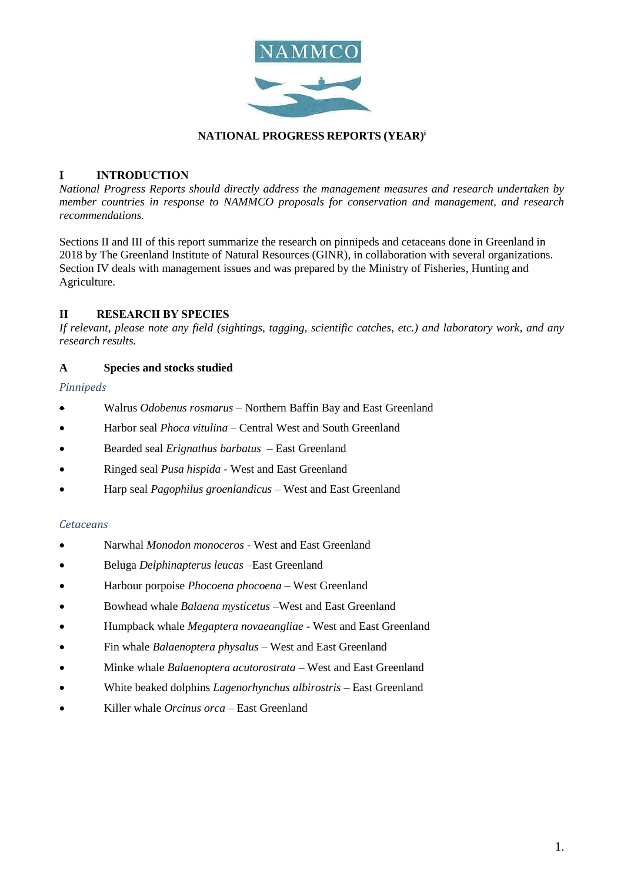

### **NATIONAL PROGRESS REPORTS (YEAR)<sup>i</sup>**

## **I INTRODUCTION**

*National Progress Reports should directly address the management measures and research undertaken by member countries in response to NAMMCO proposals for conservation and management, and research recommendations.* 

Sections II and III of this report summarize the research on pinnipeds and cetaceans done in Greenland in 2018 by The Greenland Institute of Natural Resources (GINR), in collaboration with several organizations. Section IV deals with management issues and was prepared by the Ministry of Fisheries, Hunting and Agriculture.

## **II RESEARCH BY SPECIES**

*If relevant, please note any field (sightings, tagging, scientific catches, etc.) and laboratory work, and any research results.*

### **A Species and stocks studied**

### *Pinnipeds*

- Walrus *Odobenus rosmarus –* Northern Baffin Bay and East Greenland
- Harbor seal *Phoca vitulina* Central West and South Greenland
- Bearded seal *Erignathus barbatus* East Greenland
- Ringed seal *Pusa hispida* West and East Greenland
- Harp seal *Pagophilus groenlandicus* West and East Greenland

#### *Cetaceans*

- Narwhal *Monodon monoceros* West and East Greenland
- Beluga *Delphinapterus leucas –*East Greenland
- Harbour porpoise *Phocoena phocoena* West Greenland
- Bowhead whale *Balaena mysticetus* –West and East Greenland
- Humpback whale *Megaptera novaeangliae* West and East Greenland
- Fin whale *Balaenoptera physalus*  West and East Greenland
- Minke whale *Balaenoptera acutorostrata* West and East Greenland
- White beaked dolphins *Lagenorhynchus albirostris*  East Greenland
- Killer whale *Orcinus orca*  East Greenland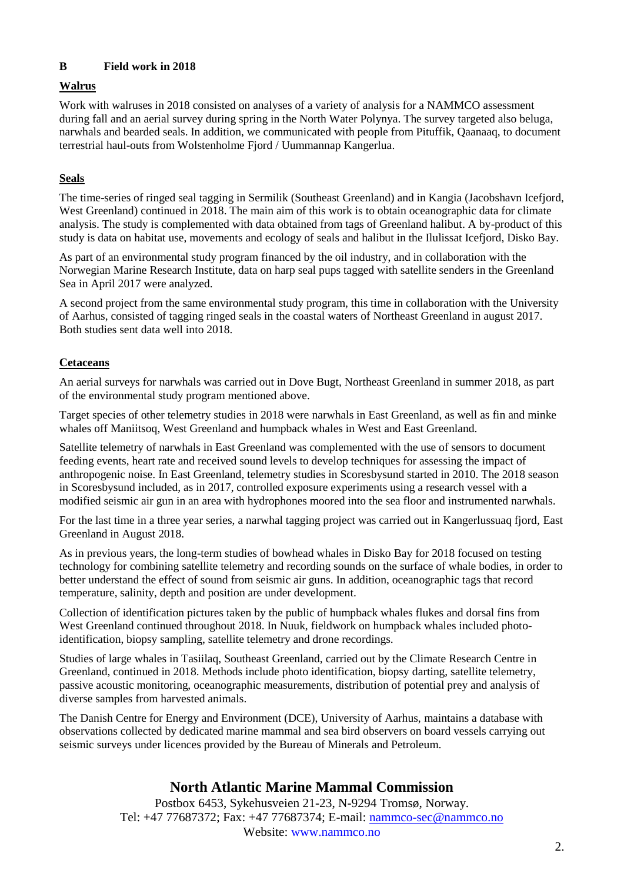# **B Field work in 2018**

# **Walrus**

Work with walruses in 2018 consisted on analyses of a variety of analysis for a NAMMCO assessment during fall and an aerial survey during spring in the North Water Polynya. The survey targeted also beluga, narwhals and bearded seals. In addition, we communicated with people from Pituffik, Qaanaaq, to document terrestrial haul-outs from Wolstenholme Fjord / Uummannap Kangerlua.

# **Seals**

The time-series of ringed seal tagging in Sermilik (Southeast Greenland) and in Kangia (Jacobshavn Icefjord, West Greenland) continued in 2018. The main aim of this work is to obtain oceanographic data for climate analysis. The study is complemented with data obtained from tags of Greenland halibut. A by-product of this study is data on habitat use, movements and ecology of seals and halibut in the Ilulissat Icefjord, Disko Bay.

As part of an environmental study program financed by the oil industry, and in collaboration with the Norwegian Marine Research Institute, data on harp seal pups tagged with satellite senders in the Greenland Sea in April 2017 were analyzed.

A second project from the same environmental study program, this time in collaboration with the University of Aarhus, consisted of tagging ringed seals in the coastal waters of Northeast Greenland in august 2017. Both studies sent data well into 2018.

# **Cetaceans**

An aerial surveys for narwhals was carried out in Dove Bugt, Northeast Greenland in summer 2018, as part of the environmental study program mentioned above.

Target species of other telemetry studies in 2018 were narwhals in East Greenland, as well as fin and minke whales off Maniitsoq, West Greenland and humpback whales in West and East Greenland.

Satellite telemetry of narwhals in East Greenland was complemented with the use of sensors to document feeding events, heart rate and received sound levels to develop techniques for assessing the impact of anthropogenic noise. In East Greenland, telemetry studies in Scoresbysund started in 2010. The 2018 season in Scoresbysund included, as in 2017, controlled exposure experiments using a research vessel with a modified seismic air gun in an area with hydrophones moored into the sea floor and instrumented narwhals.

For the last time in a three year series, a narwhal tagging project was carried out in Kangerlussuaq fjord, East Greenland in August 2018.

As in previous years, the long-term studies of bowhead whales in Disko Bay for 2018 focused on testing technology for combining satellite telemetry and recording sounds on the surface of whale bodies, in order to better understand the effect of sound from seismic air guns. In addition, oceanographic tags that record temperature, salinity, depth and position are under development.

Collection of identification pictures taken by the public of humpback whales flukes and dorsal fins from West Greenland continued throughout 2018. In Nuuk, fieldwork on humpback whales included photoidentification, biopsy sampling, satellite telemetry and drone recordings.

Studies of large whales in Tasiilaq, Southeast Greenland, carried out by the Climate Research Centre in Greenland, continued in 2018. Methods include photo identification, biopsy darting, satellite telemetry, passive acoustic monitoring, oceanographic measurements, distribution of potential prey and analysis of diverse samples from harvested animals.

The Danish Centre for Energy and Environment (DCE), University of Aarhus, maintains a database with observations collected by dedicated marine mammal and sea bird observers on board vessels carrying out seismic surveys under licences provided by the Bureau of Minerals and Petroleum.

# **North Atlantic Marine Mammal Commission**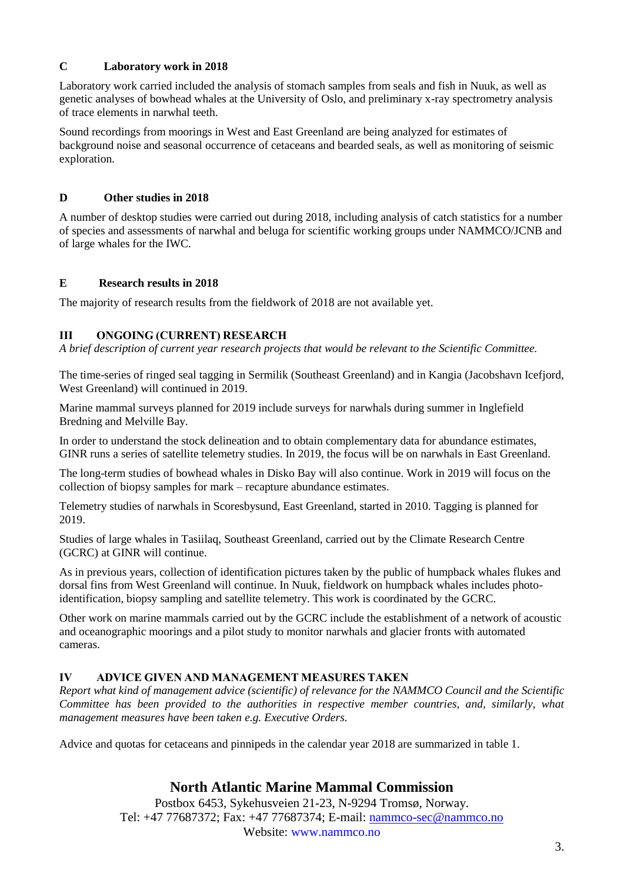## **C Laboratory work in 2018**

Laboratory work carried included the analysis of stomach samples from seals and fish in Nuuk, as well as genetic analyses of bowhead whales at the University of Oslo, and preliminary x-ray spectrometry analysis of trace elements in narwhal teeth.

Sound recordings from moorings in West and East Greenland are being analyzed for estimates of background noise and seasonal occurrence of cetaceans and bearded seals, as well as monitoring of seismic exploration.

## **D Other studies in 2018**

A number of desktop studies were carried out during 2018, including analysis of catch statistics for a number of species and assessments of narwhal and beluga for scientific working groups under NAMMCO/JCNB and of large whales for the IWC.

## **E Research results in 2018**

The majority of research results from the fieldwork of 2018 are not available yet.

## **III ONGOING (CURRENT) RESEARCH**

*A brief description of current year research projects that would be relevant to the Scientific Committee.*

The time-series of ringed seal tagging in Sermilik (Southeast Greenland) and in Kangia (Jacobshavn Icefjord, West Greenland) will continued in 2019.

Marine mammal surveys planned for 2019 include surveys for narwhals during summer in Inglefield Bredning and Melville Bay.

In order to understand the stock delineation and to obtain complementary data for abundance estimates, GINR runs a series of satellite telemetry studies. In 2019, the focus will be on narwhals in East Greenland.

The long-term studies of bowhead whales in Disko Bay will also continue. Work in 2019 will focus on the collection of biopsy samples for mark – recapture abundance estimates.

Telemetry studies of narwhals in Scoresbysund, East Greenland, started in 2010. Tagging is planned for 2019.

Studies of large whales in Tasiilaq, Southeast Greenland, carried out by the Climate Research Centre (GCRC) at GINR will continue.

As in previous years, collection of identification pictures taken by the public of humpback whales flukes and dorsal fins from West Greenland will continue. In Nuuk, fieldwork on humpback whales includes photoidentification, biopsy sampling and satellite telemetry. This work is coordinated by the GCRC.

Other work on marine mammals carried out by the GCRC include the establishment of a network of acoustic and oceanographic moorings and a pilot study to monitor narwhals and glacier fronts with automated cameras.

# **IV ADVICE GIVEN AND MANAGEMENT MEASURES TAKEN**

*Report what kind of management advice (scientific) of relevance for the NAMMCO Council and the Scientific Committee has been provided to the authorities in respective member countries, and, similarly, what management measures have been taken e.g. Executive Orders.* 

Advice and quotas for cetaceans and pinnipeds in the calendar year 2018 are summarized in table 1.

# **North Atlantic Marine Mammal Commission**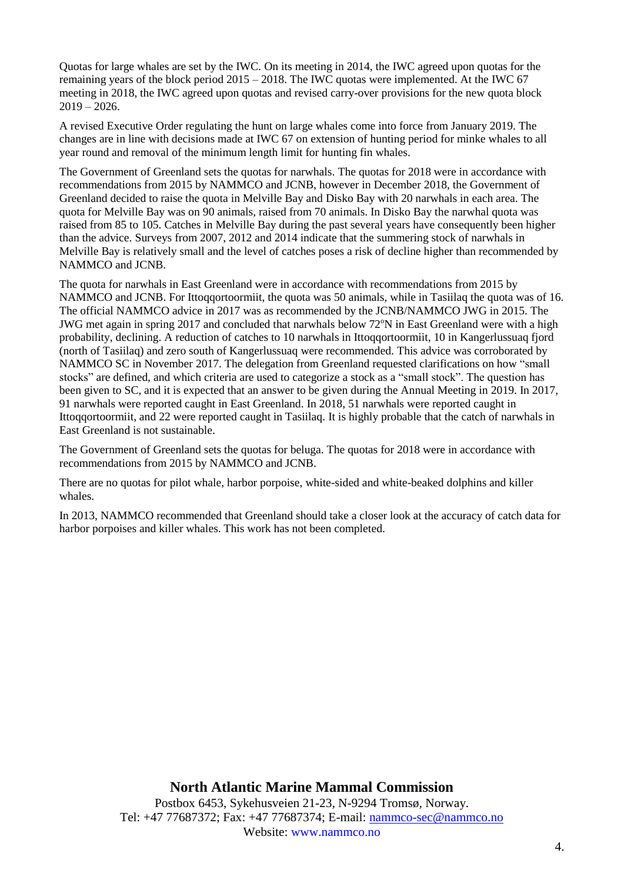Quotas for large whales are set by the IWC. On its meeting in 2014, the IWC agreed upon quotas for the remaining years of the block period 2015 – 2018. The IWC quotas were implemented. At the IWC 67 meeting in 2018, the IWC agreed upon quotas and revised carry-over provisions for the new quota block  $2019 - 2026$ .

A revised Executive Order regulating the hunt on large whales come into force from January 2019. The changes are in line with decisions made at IWC 67 on extension of hunting period for minke whales to all year round and removal of the minimum length limit for hunting fin whales.

The Government of Greenland sets the quotas for narwhals. The quotas for 2018 were in accordance with recommendations from 2015 by NAMMCO and JCNB, however in December 2018, the Government of Greenland decided to raise the quota in Melville Bay and Disko Bay with 20 narwhals in each area. The quota for Melville Bay was on 90 animals, raised from 70 animals. In Disko Bay the narwhal quota was raised from 85 to 105. Catches in Melville Bay during the past several years have consequently been higher than the advice. Surveys from 2007, 2012 and 2014 indicate that the summering stock of narwhals in Melville Bay is relatively small and the level of catches poses a risk of decline higher than recommended by NAMMCO and JCNB.

The quota for narwhals in East Greenland were in accordance with recommendations from 2015 by NAMMCO and JCNB. For Ittoqqortoormiit, the quota was 50 animals, while in Tasiilaq the quota was of 16. The official NAMMCO advice in 2017 was as recommended by the JCNB/NAMMCO JWG in 2015. The JWG met again in spring 2017 and concluded that narwhals below  $72^{\circ}N$  in East Greenland were with a high probability, declining. A reduction of catches to 10 narwhals in Ittoqqortoormiit, 10 in Kangerlussuaq fjord (north of Tasiilaq) and zero south of Kangerlussuaq were recommended. This advice was corroborated by NAMMCO SC in November 2017. The delegation from Greenland requested clarifications on how "small stocks" are defined, and which criteria are used to categorize a stock as a "small stock". The question has been given to SC, and it is expected that an answer to be given during the Annual Meeting in 2019. In 2017, 91 narwhals were reported caught in East Greenland. In 2018, 51 narwhals were reported caught in Ittoqqortoormiit, and 22 were reported caught in Tasiilaq. It is highly probable that the catch of narwhals in East Greenland is not sustainable.

The Government of Greenland sets the quotas for beluga. The quotas for 2018 were in accordance with recommendations from 2015 by NAMMCO and JCNB.

There are no quotas for pilot whale, harbor porpoise, white-sided and white-beaked dolphins and killer whales.

In 2013, NAMMCO recommended that Greenland should take a closer look at the accuracy of catch data for harbor porpoises and killer whales. This work has not been completed.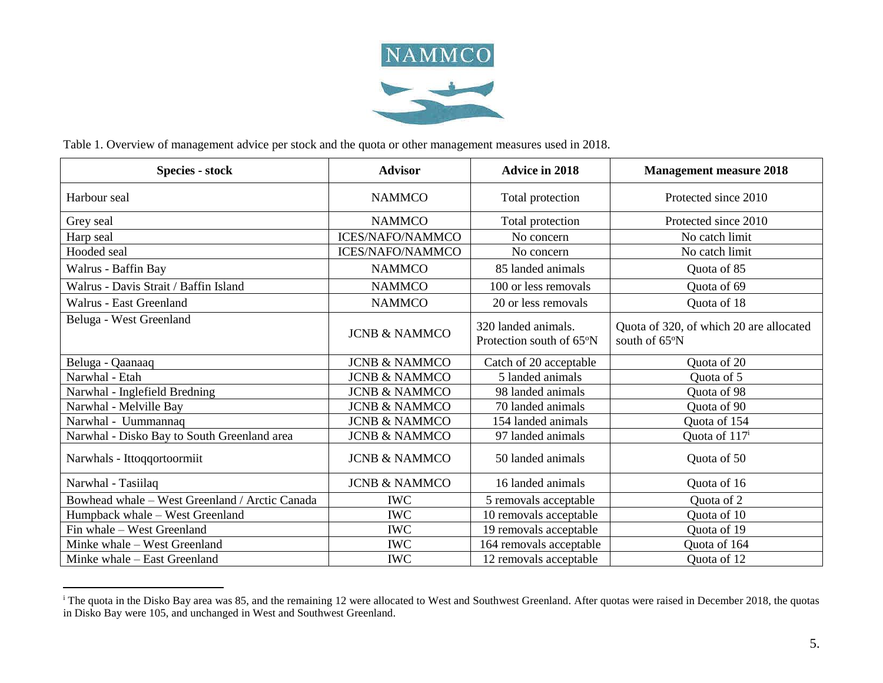

Table 1. Overview of management advice per stock and the quota or other management measures used in 2018.

 $\overline{a}$ 

| <b>Species - stock</b>                         | <b>Advisor</b>           | <b>Advice in 2018</b>                           | <b>Management measure 2018</b>                           |
|------------------------------------------------|--------------------------|-------------------------------------------------|----------------------------------------------------------|
| Harbour seal                                   | <b>NAMMCO</b>            | Total protection                                | Protected since 2010                                     |
| Grey seal                                      | <b>NAMMCO</b>            | Total protection                                | Protected since 2010                                     |
| Harp seal                                      | <b>ICES/NAFO/NAMMCO</b>  | No concern                                      | No catch limit                                           |
| Hooded seal                                    | <b>ICES/NAFO/NAMMCO</b>  | No concern                                      | No catch limit                                           |
| Walrus - Baffin Bay                            | <b>NAMMCO</b>            | 85 landed animals                               | Quota of 85                                              |
| Walrus - Davis Strait / Baffin Island          | <b>NAMMCO</b>            | 100 or less removals                            | Quota of 69                                              |
| Walrus - East Greenland                        | <b>NAMMCO</b>            | 20 or less removals                             | Quota of 18                                              |
| Beluga - West Greenland                        | <b>JCNB &amp; NAMMCO</b> | 320 landed animals.<br>Protection south of 65°N | Quota of 320, of which 20 are allocated<br>south of 65°N |
| Beluga - Qaanaaq                               | <b>JCNB &amp; NAMMCO</b> | Catch of 20 acceptable                          | Quota of 20                                              |
| Narwhal - Etah                                 | <b>JCNB &amp; NAMMCO</b> | 5 landed animals                                | Ouota of 5                                               |
| Narwhal - Inglefield Bredning                  | <b>JCNB &amp; NAMMCO</b> | 98 landed animals                               | Quota of 98                                              |
| Narwhal - Melville Bay                         | <b>JCNB &amp; NAMMCO</b> | 70 landed animals                               | Quota of 90                                              |
| Narwhal - Uummannaq                            | <b>JCNB &amp; NAMMCO</b> | 154 landed animals                              | Quota of 154                                             |
| Narwhal - Disko Bay to South Greenland area    | <b>JCNB &amp; NAMMCO</b> | 97 landed animals                               | Quota of 117 <sup>i</sup>                                |
| Narwhals - Ittoqqortoormiit                    | <b>JCNB &amp; NAMMCO</b> | 50 landed animals                               | Quota of 50                                              |
| Narwhal - Tasiilaq                             | <b>JCNB &amp; NAMMCO</b> | 16 landed animals                               | Quota of 16                                              |
| Bowhead whale - West Greenland / Arctic Canada | <b>IWC</b>               | 5 removals acceptable                           | Quota of 2                                               |
| Humpback whale - West Greenland                | <b>IWC</b>               | 10 removals acceptable                          | Quota of 10                                              |
| Fin whale – West Greenland                     | <b>IWC</b>               | 19 removals acceptable                          | Quota of 19                                              |
| Minke whale - West Greenland                   | <b>IWC</b>               | 164 removals acceptable                         | Quota of 164                                             |
| Minke whale - East Greenland                   | <b>IWC</b>               | 12 removals acceptable                          | Quota of 12                                              |

<sup>&</sup>lt;sup>i</sup> The quota in the Disko Bay area was 85, and the remaining 12 were allocated to West and Southwest Greenland. After quotas were raised in December 2018, the quotas in Disko Bay were 105, and unchanged in West and Southwest Greenland.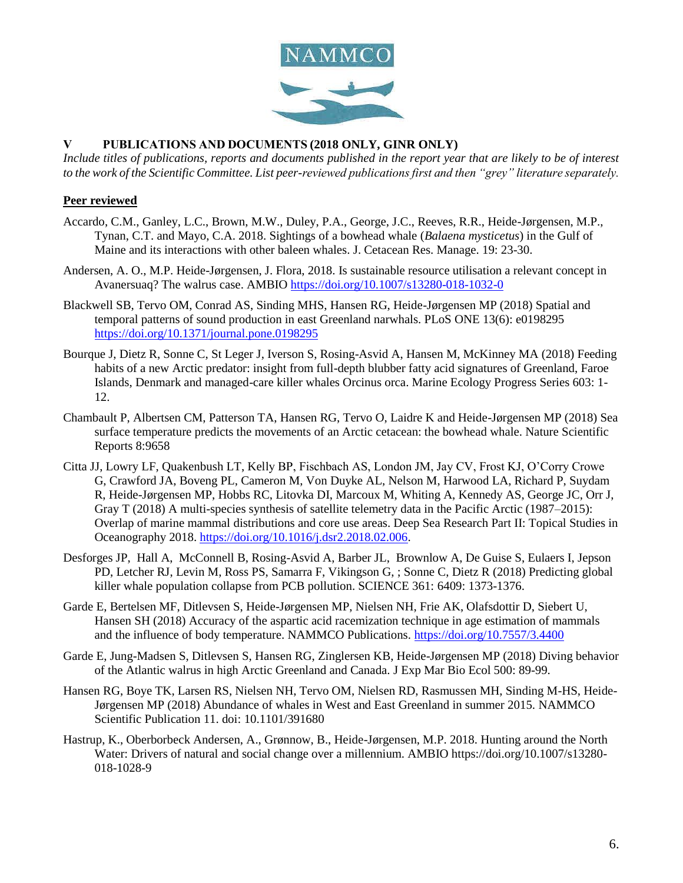

### **V PUBLICATIONS AND DOCUMENTS (2018 ONLY, GINR ONLY)**

*Include titles of publications, reports and documents published in the report year that are likely to be of interest to the work of the Scientific Committee. List peer-reviewed publications first and then "grey" literature separately.*

#### **Peer reviewed**

- Accardo, C.M., Ganley, L.C., Brown, M.W., Duley, P.A., George, J.C., Reeves, R.R., Heide-Jørgensen, M.P., Tynan, C.T. and Mayo, C.A. 2018. Sightings of a bowhead whale (*Balaena mysticetus*) in the Gulf of Maine and its interactions with other baleen whales. J. Cetacean Res. Manage. 19: 23-30.
- Andersen, A. O., M.P. Heide-Jørgensen, J. Flora, 2018. Is sustainable resource utilisation a relevant concept in Avanersuaq? The walrus case. AMBIO<https://doi.org/10.1007/s13280-018-1032-0>
- Blackwell SB, Tervo OM, Conrad AS, Sinding MHS, Hansen RG, Heide-Jørgensen MP (2018) Spatial and temporal patterns of sound production in east Greenland narwhals. PLoS ONE 13(6): e0198295 <https://doi.org/10.1371/journal.pone.0198295>
- Bourque J, Dietz R, Sonne C, St Leger J, Iverson S, Rosing-Asvid A, Hansen M, McKinney MA (2018) Feeding habits of a new Arctic predator: insight from full-depth blubber fatty acid signatures of Greenland, Faroe Islands, Denmark and managed-care killer whales Orcinus orca. Marine Ecology Progress Series 603: 1- 12.
- Chambault P, Albertsen CM, Patterson TA, Hansen RG, Tervo O, Laidre K and Heide-Jørgensen MP (2018) Sea surface temperature predicts the movements of an Arctic cetacean: the bowhead whale. Nature Scientific Reports 8:9658
- Citta JJ, Lowry LF, Quakenbush LT, Kelly BP, Fischbach AS, London JM, Jay CV, Frost KJ, O'Corry Crowe G, Crawford JA, Boveng PL, Cameron M, Von Duyke AL, Nelson M, Harwood LA, Richard P, Suydam R, Heide-Jørgensen MP, Hobbs RC, Litovka DI, Marcoux M, Whiting A, Kennedy AS, George JC, Orr J, Gray T (2018) A multi-species synthesis of satellite telemetry data in the Pacific Arctic (1987–2015): Overlap of marine mammal distributions and core use areas. Deep Sea Research Part II: Topical Studies in Oceanography 2018. [https://doi.org/10.1016/j.dsr2.2018.02.006.](https://doi.org/10.1016/j.dsr2.2018.02.006)
- Desforges JP, Hall A, McConnell B, Rosing-Asvid A, Barber JL, Brownlow A, De Guise S, Eulaers I, Jepson PD, Letcher RJ, Levin M, Ross PS, Samarra F, Vikingson G, ; Sonne C, Dietz R (2018) Predicting global killer whale population collapse from PCB pollution. SCIENCE 361: 6409: 1373-1376.
- Garde E, Bertelsen MF, Ditlevsen S, Heide-Jørgensen MP, Nielsen NH, Frie AK, Olafsdottir D, Siebert U, Hansen SH (2018) Accuracy of the aspartic acid racemization technique in age estimation of mammals and the influence of body temperature. NAMMCO Publications.<https://doi.org/10.7557/3.4400>
- Garde E, Jung-Madsen S, Ditlevsen S, Hansen RG, Zinglersen KB, Heide-Jørgensen MP (2018) Diving behavior of the Atlantic walrus in high Arctic Greenland and Canada. J Exp Mar Bio Ecol 500: 89-99.
- Hansen RG, Boye TK, Larsen RS, Nielsen NH, Tervo OM, Nielsen RD, Rasmussen MH, Sinding M-HS, Heide-Jørgensen MP (2018) Abundance of whales in West and East Greenland in summer 2015. NAMMCO Scientific Publication 11. doi: 10.1101/391680
- Hastrup, K., Oberborbeck Andersen, A., Grønnow, B., Heide-Jørgensen, M.P. 2018. Hunting around the North Water: Drivers of natural and social change over a millennium. AMBIO https://doi.org/10.1007/s13280- 018-1028-9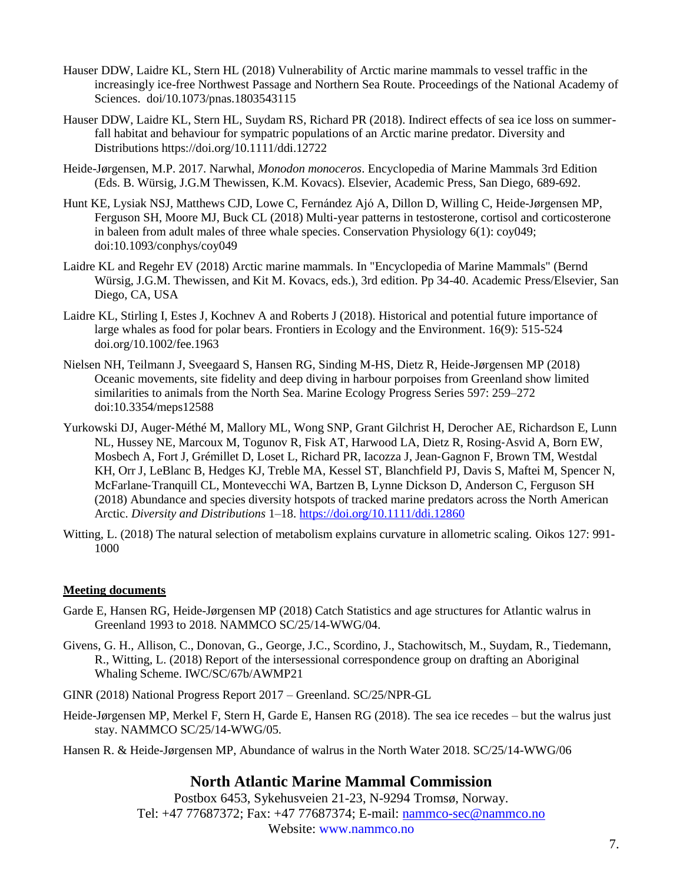- Hauser DDW, Laidre KL, Stern HL (2018) Vulnerability of Arctic marine mammals to vessel traffic in the increasingly ice-free Northwest Passage and Northern Sea Route. Proceedings of the National Academy of Sciences. doi/10.1073/pnas.1803543115
- Hauser DDW, Laidre KL, Stern HL, Suydam RS, Richard PR (2018). Indirect effects of sea ice loss on summerfall habitat and behaviour for sympatric populations of an Arctic marine predator. Diversity and Distributions https://doi.org/10.1111/ddi.12722
- Heide-Jørgensen, M.P. 2017. Narwhal, *Monodon monoceros*. Encyclopedia of Marine Mammals 3rd Edition (Eds. B. Würsig, J.G.M Thewissen, K.M. Kovacs). Elsevier, Academic Press, San Diego, 689-692.
- Hunt KE, Lysiak NSJ, Matthews CJD, Lowe C, Fernández Ajó A, Dillon D, Willing C, Heide-Jørgensen MP, Ferguson SH, Moore MJ, Buck CL (2018) Multi-year patterns in testosterone, cortisol and corticosterone in baleen from adult males of three whale species. Conservation Physiology 6(1): coy049; doi:10.1093/conphys/coy049
- Laidre KL and Regehr EV (2018) Arctic marine mammals. In "Encyclopedia of Marine Mammals" (Bernd Würsig, J.G.M. Thewissen, and Kit M. Kovacs, eds.), 3rd edition. Pp 34-40. Academic Press/Elsevier, San Diego, CA, USA
- Laidre KL, Stirling I, Estes J, Kochnev A and Roberts J (2018). Historical and potential future importance of large whales as food for polar bears. Frontiers in Ecology and the Environment. 16(9): 515-524 doi.org/10.1002/fee.1963
- Nielsen NH, Teilmann J, Sveegaard S, Hansen RG, Sinding M-HS, Dietz R, Heide-Jørgensen MP (2018) Oceanic movements, site fidelity and deep diving in harbour porpoises from Greenland show limited similarities to animals from the North Sea. Marine Ecology Progress Series 597: 259–272 doi:10.3354/meps12588
- Yurkowski DJ, Auger‐Méthé M, Mallory ML, Wong SNP, Grant Gilchrist H, Derocher AE, Richardson E, Lunn NL, Hussey NE, Marcoux M, Togunov R, Fisk AT, Harwood LA, Dietz R, Rosing‐Asvid A, Born EW, Mosbech A, Fort J, Grémillet D, Loset L, Richard PR, Iacozza J, Jean‐Gagnon F, Brown TM, Westdal KH, Orr J, LeBlanc B, Hedges KJ, Treble MA, Kessel ST, Blanchfield PJ, Davis S, Maftei M, Spencer N, McFarlane‐Tranquill CL, Montevecchi WA, Bartzen B, Lynne Dickson D, Anderson C, Ferguson SH (2018) Abundance and species diversity hotspots of tracked marine predators across the North American Arctic. *Diversity and Distributions* 1–18.<https://doi.org/10.1111/ddi.12860>
- Witting, L. (2018) The natural selection of metabolism explains curvature in allometric scaling. Oikos 127: 991- 1000

## **Meeting documents**

- Garde E, Hansen RG, Heide-Jørgensen MP (2018) Catch Statistics and age structures for Atlantic walrus in Greenland 1993 to 2018. NAMMCO SC/25/14-WWG/04.
- Givens, G. H., Allison, C., Donovan, G., George, J.C., Scordino, J., Stachowitsch, M., Suydam, R., Tiedemann, R., Witting, L. (2018) Report of the intersessional correspondence group on drafting an Aboriginal Whaling Scheme. IWC/SC/67b/AWMP21
- GINR (2018) National Progress Report 2017 Greenland. SC/25/NPR-GL
- Heide-Jørgensen MP, Merkel F, Stern H, Garde E, Hansen RG (2018). The sea ice recedes but the walrus just stay. NAMMCO SC/25/14-WWG/05.
- Hansen R. & Heide-Jørgensen MP, Abundance of walrus in the North Water 2018. SC/25/14-WWG/06

# **North Atlantic Marine Mammal Commission**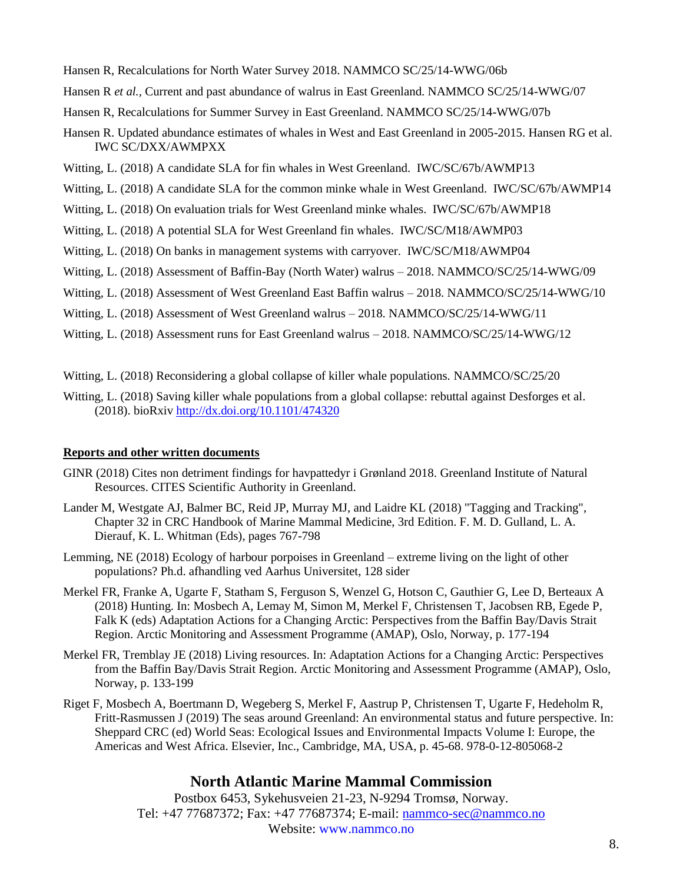- Hansen R, Recalculations for North Water Survey 2018. NAMMCO SC/25/14-WWG/06b
- Hansen R *et al.,* Current and past abundance of walrus in East Greenland. NAMMCO SC/25/14-WWG/07
- Hansen R, Recalculations for Summer Survey in East Greenland. NAMMCO SC/25/14-WWG/07b
- Hansen R. Updated abundance estimates of whales in West and East Greenland in 2005-2015. Hansen RG et al. IWC SC/DXX/AWMPXX
- Witting, L. (2018) A candidate SLA for fin whales in West Greenland. IWC/SC/67b/AWMP13
- Witting, L. (2018) A candidate SLA for the common minke whale in West Greenland. IWC/SC/67b/AWMP14
- Witting, L. (2018) On evaluation trials for West Greenland minke whales. IWC/SC/67b/AWMP18
- Witting, L. (2018) A potential SLA for West Greenland fin whales. IWC/SC/M18/AWMP03
- Witting, L. (2018) On banks in management systems with carryover. IWC/SC/M18/AWMP04
- Witting, L. (2018) Assessment of Baffin-Bay (North Water) walrus 2018. NAMMCO/SC/25/14-WWG/09
- Witting, L. (2018) Assessment of West Greenland East Baffin walrus 2018. NAMMCO/SC/25/14-WWG/10
- Witting, L. (2018) Assessment of West Greenland walrus 2018. NAMMCO/SC/25/14-WWG/11
- Witting, L. (2018) Assessment runs for East Greenland walrus 2018. NAMMCO/SC/25/14-WWG/12
- Witting, L. (2018) Reconsidering a global collapse of killer whale populations. NAMMCO/SC/25/20
- Witting, L. (2018) Saving killer whale populations from a global collapse: rebuttal against Desforges et al. (2018). bioRxiv<http://dx.doi.org/10.1101/474320>

#### **Reports and other written documents**

- GINR (2018) Cites non detriment findings for havpattedyr i Grønland 2018. Greenland Institute of Natural Resources. CITES Scientific Authority in Greenland.
- Lander M, Westgate AJ, Balmer BC, Reid JP, Murray MJ, and Laidre KL (2018) "Tagging and Tracking", Chapter 32 in CRC Handbook of Marine Mammal Medicine, 3rd Edition. F. M. D. Gulland, L. A. Dierauf, K. L. Whitman (Eds), pages 767-798
- Lemming, NE (2018) Ecology of harbour porpoises in Greenland extreme living on the light of other populations? Ph.d. afhandling ved Aarhus Universitet, 128 sider
- Merkel FR, Franke A, Ugarte F, Statham S, Ferguson S, Wenzel G, Hotson C, Gauthier G, Lee D, Berteaux A (2018) Hunting. In: Mosbech A, Lemay M, Simon M, Merkel F, Christensen T, Jacobsen RB, Egede P, Falk K (eds) Adaptation Actions for a Changing Arctic: Perspectives from the Baffin Bay/Davis Strait Region. Arctic Monitoring and Assessment Programme (AMAP), Oslo, Norway, p. 177-194
- Merkel FR, Tremblay JE (2018) Living resources. In: Adaptation Actions for a Changing Arctic: Perspectives from the Baffin Bay/Davis Strait Region. Arctic Monitoring and Assessment Programme (AMAP), Oslo, Norway, p. 133-199
- Riget F, Mosbech A, Boertmann D, Wegeberg S, Merkel F, Aastrup P, Christensen T, Ugarte F, Hedeholm R, Fritt-Rasmussen J (2019) The seas around Greenland: An environmental status and future perspective. In: Sheppard CRC (ed) World Seas: Ecological Issues and Environmental Impacts Volume I: Europe, the Americas and West Africa. Elsevier, Inc., Cambridge, MA, USA, p. 45-68. 978-0-12-805068-2

# **North Atlantic Marine Mammal Commission**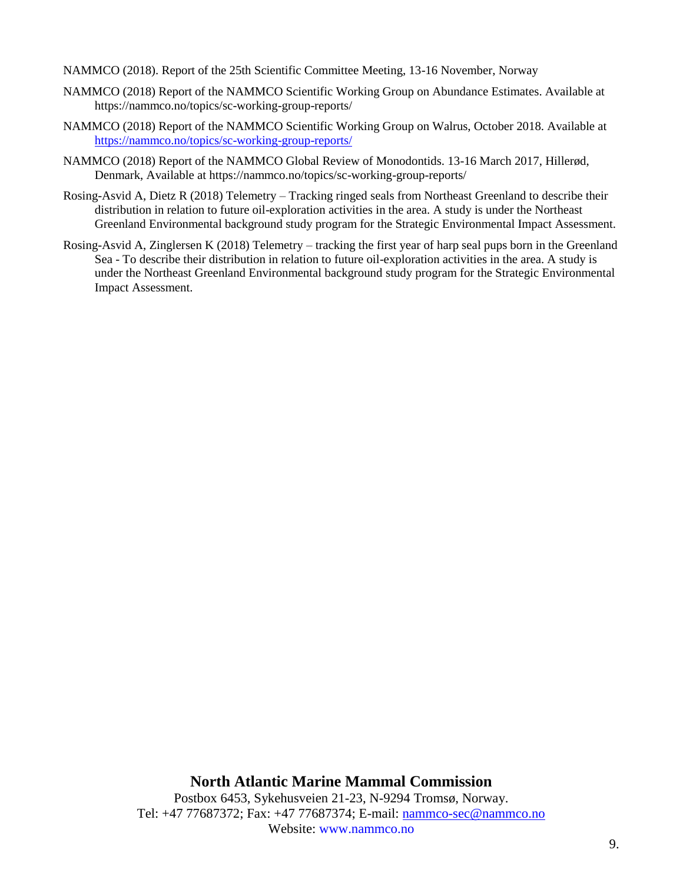NAMMCO (2018). Report of the 25th Scientific Committee Meeting, 13-16 November, Norway

- NAMMCO (2018) Report of the NAMMCO Scientific Working Group on Abundance Estimates. Available at https://nammco.no/topics/sc-working-group-reports/
- NAMMCO (2018) Report of the NAMMCO Scientific Working Group on Walrus, October 2018. Available at <https://nammco.no/topics/sc-working-group-reports/>
- NAMMCO (2018) Report of the NAMMCO Global Review of Monodontids. 13-16 March 2017, Hillerød, Denmark, Available at https://nammco.no/topics/sc-working-group-reports/
- Rosing-Asvid A, Dietz R (2018) Telemetry Tracking ringed seals from Northeast Greenland to describe their distribution in relation to future oil-exploration activities in the area. A study is under the Northeast Greenland Environmental background study program for the Strategic Environmental Impact Assessment.
- Rosing-Asvid A, Zinglersen K (2018) Telemetry tracking the first year of harp seal pups born in the Greenland Sea - To describe their distribution in relation to future oil-exploration activities in the area. A study is under the Northeast Greenland Environmental background study program for the Strategic Environmental Impact Assessment.

**North Atlantic Marine Mammal Commission** Postbox 6453, Sykehusveien 21-23, N-9294 Tromsø, Norway. Tel: +47 77687372; Fax: +47 77687374; E-mail: [nammco-sec@nammco.no](mailto:nammco-sec@nammco.no) Website: www.nammco.no